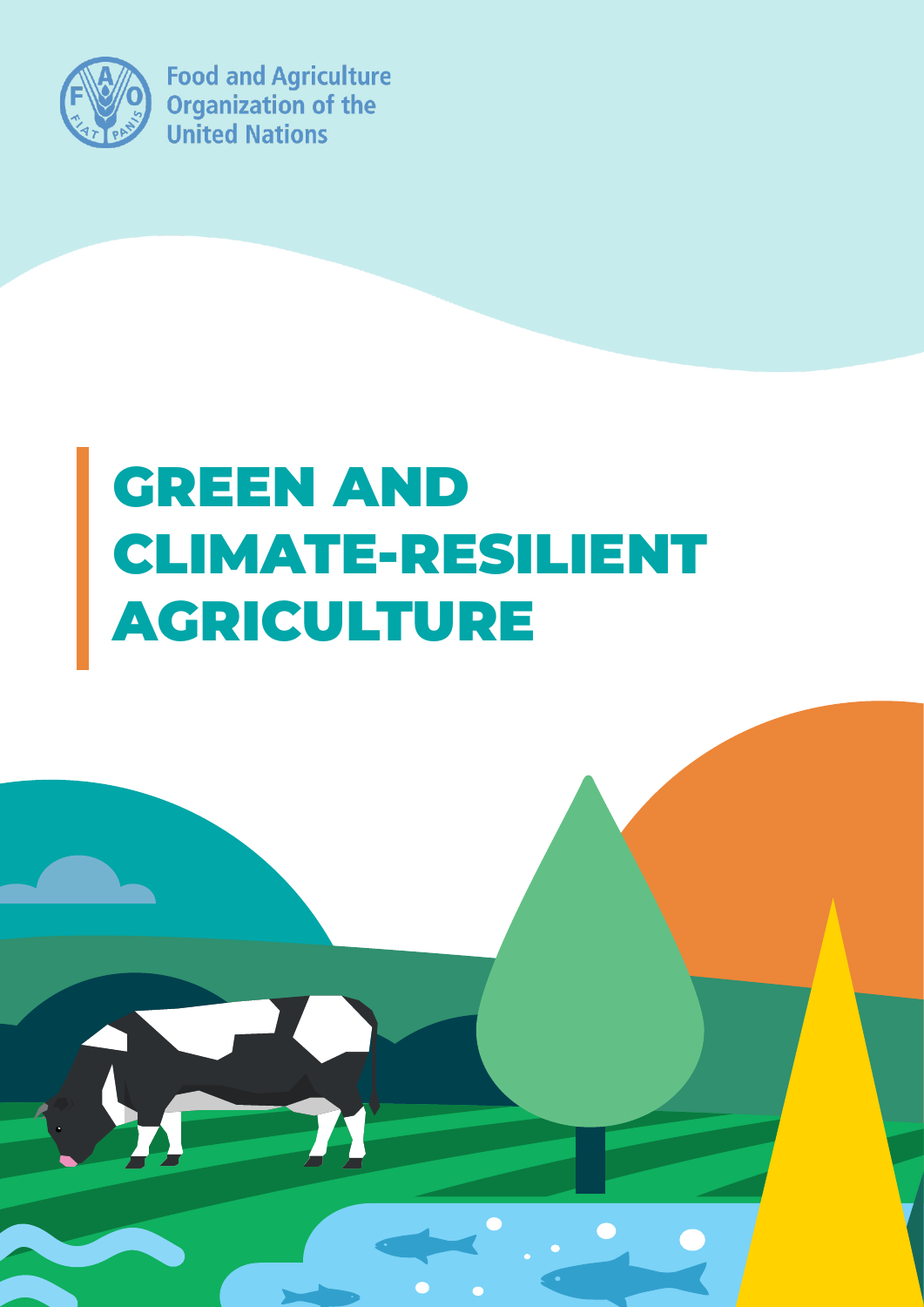

**Food and Agriculture Organization of the United Nations** 

# GREEN AND CLIMATE-RESILIENT AGRICULTURE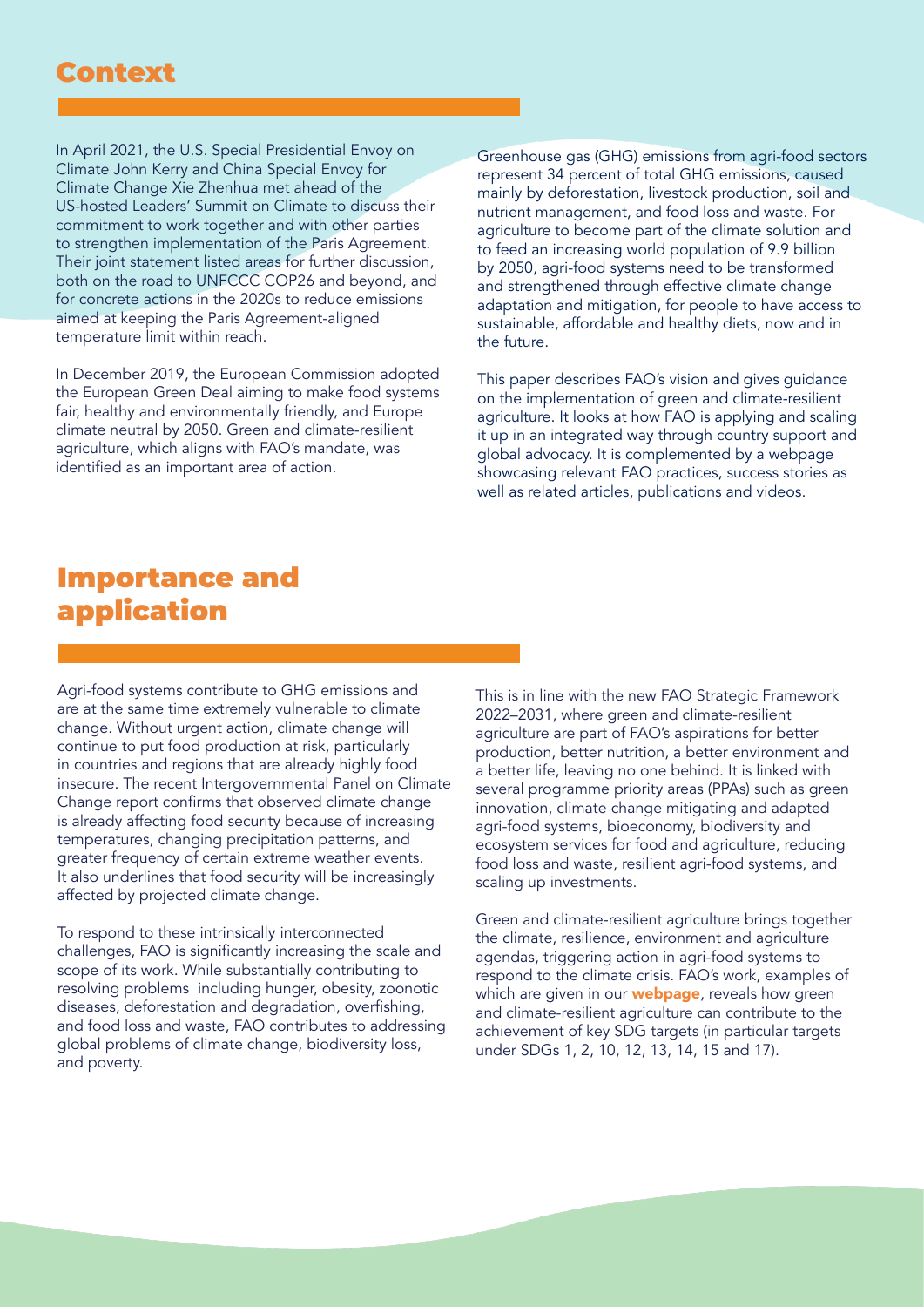### Context

In April 2021, the U.S. Special Presidential Envoy on Climate John Kerry and China Special Envoy for Climate Change Xie Zhenhua met ahead of the US-hosted Leaders' Summit on Climate to discuss their commitment to work together and with other parties to strengthen implementation of the Paris Agreement. Their joint statement listed areas for further discussion, both on the road to UNFCCC COP26 and beyond, and for concrete actions in the 2020s to reduce emissions aimed at keeping the Paris Agreement-aligned temperature limit within reach.

In December 2019, the European Commission adopted the European Green Deal aiming to make food systems fair, healthy and environmentally friendly, and Europe climate neutral by 2050. Green and climate-resilient agriculture, which aligns with FAO's mandate, was identified as an important area of action.

Greenhouse gas (GHG) emissions from agri-food sectors represent 34 percent of total GHG emissions, caused mainly by deforestation, livestock production, soil and nutrient management, and food loss and waste. For agriculture to become part of the climate solution and to feed an increasing world population of 9.9 billion by 2050, agri-food systems need to be transformed and strengthened through effective climate change adaptation and mitigation, for people to have access to sustainable, affordable and healthy diets, now and in the future.

This paper describes FAO's vision and gives guidance on the implementation of green and climate-resilient agriculture. It looks at how FAO is applying and scaling it up in an integrated way through country support and global advocacy. It is complemented by a webpage showcasing relevant FAO practices, success stories as well as related articles, publications and videos.

## Importance and application

Agri-food systems contribute to GHG emissions and are at the same time extremely vulnerable to climate change. Without urgent action, climate change will continue to put food production at risk, particularly in countries and regions that are already highly food insecure. The recent Intergovernmental Panel on Climate Change report confirms that observed climate change is already affecting food security because of increasing temperatures, changing precipitation patterns, and greater frequency of certain extreme weather events. It also underlines that food security will be increasingly affected by projected climate change.

To respond to these intrinsically interconnected challenges, FAO is significantly increasing the scale and scope of its work. While substantially contributing to resolving problems including hunger, obesity, zoonotic diseases, deforestation and degradation, overfishing, and food loss and waste, FAO contributes to addressing global problems of climate change, biodiversity loss, and poverty.

This is in line with the new FAO Strategic Framework 2022–2031, where green and climate-resilient agriculture are part of FAO's aspirations for better production, better nutrition, a better environment and a better life, leaving no one behind. It is linked with several programme priority areas (PPAs) such as green innovation, climate change mitigating and adapted agri-food systems, bioeconomy, biodiversity and ecosystem services for food and agriculture, reducing food loss and waste, resilient agri-food systems, and scaling up investments.

Green and climate-resilient agriculture brings together the climate, resilience, environment and agriculture agendas, triggering action in agri-food systems to respond to the climate crisis. FAO's work, examples of which are given in our **[webpage](https://www.fao.org/climate-change/our-work/areas-of-work/en/)**, reveals how green and climate-resilient agriculture can contribute to the achievement of key SDG targets (in particular targets under SDGs 1, 2, 10, 12, 13, 14, 15 and 17).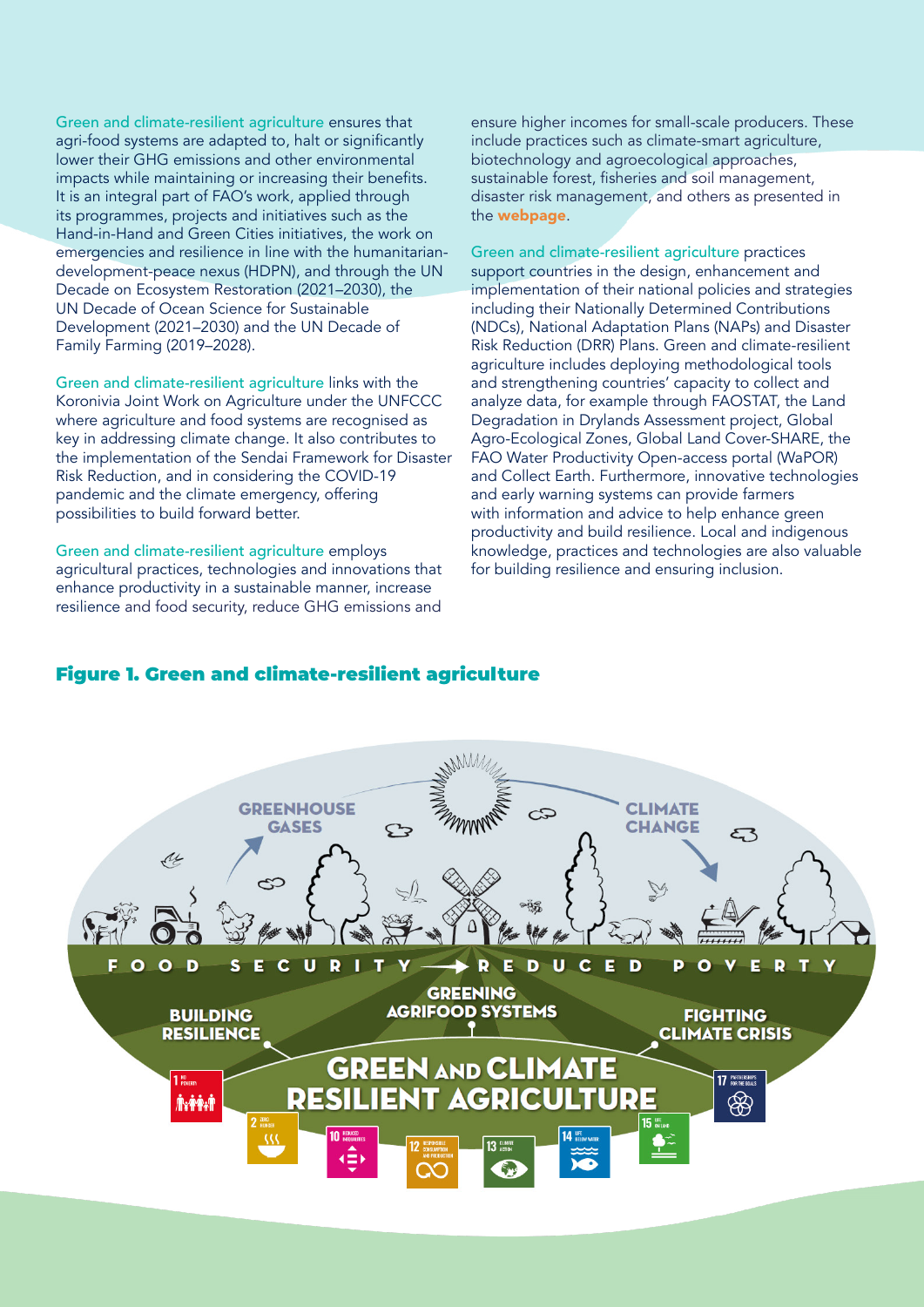Green and climate-resilient agriculture ensures that agri-food systems are adapted to, halt or significantly lower their GHG emissions and other environmental impacts while maintaining or increasing their benefits. It is an integral part of FAO's work, applied through its programmes, projects and initiatives such as the Hand-in-Hand and Green Cities initiatives, the work on emergencies and resilience in line with the humanitariandevelopment-peace nexus (HDPN), and through the UN Decade on Ecosystem Restoration (2021–2030), the UN Decade of Ocean Science for Sustainable Development (2021–2030) and the UN Decade of Family Farming (2019–2028).

Green and climate-resilient agriculture links with the Koronivia Joint Work on Agriculture under the UNFCCC where agriculture and food systems are recognised as key in addressing climate change. It also contributes to the implementation of the Sendai Framework for Disaster Risk Reduction, and in considering the COVID-19 pandemic and the climate emergency, offering possibilities to build forward better.

Green and climate-resilient agriculture employs agricultural practices, technologies and innovations that enhance productivity in a sustainable manner, increase resilience and food security, reduce GHG emissions and ensure higher incomes for small-scale producers. These include practices such as climate-smart agriculture, biotechnology and agroecological approaches, sustainable forest, fisheries and soil management, disaster risk management, and others as presented in the [webpage](https://www.fao.org/climate-change/our-work/areas-of-work/en/).

Green and climate-resilient agriculture practices support countries in the design, enhancement and implementation of their national policies and strategies including their Nationally Determined Contributions (NDCs), National Adaptation Plans (NAPs) and Disaster Risk Reduction (DRR) Plans. Green and climate-resilient agriculture includes deploying methodological tools and strengthening countries' capacity to collect and analyze data, for example through FAOSTAT, the Land Degradation in Drylands Assessment project, Global Agro-Ecological Zones, Global Land Cover-SHARE, the FAO Water Productivity Open-access portal (WaPOR) and Collect Earth. Furthermore, innovative technologies and early warning systems can provide farmers with information and advice to help enhance green productivity and build resilience. Local and indigenous knowledge, practices and technologies are also valuable for building resilience and ensuring inclusion.

#### Figure 1. Green and climate-resilient agriculture